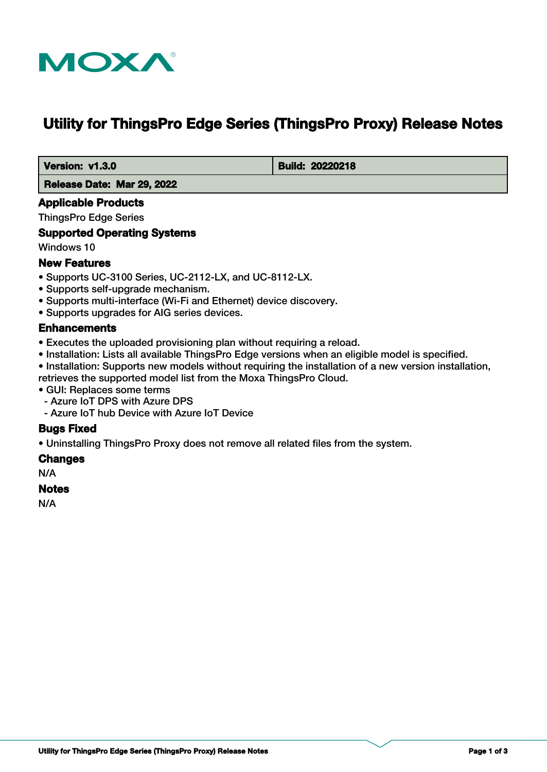

# **Utility for ThingsPro Edge Series (ThingsPro Proxy) Release Notes**

 **Version: v1.3.0 Build: 20220218** 

 **Release Date: Mar 29, 2022**

#### **Applicable Products**

ThingsPro Edge Series

#### **Supported Operating Systems**

Windows 10

#### **New Features**

- Supports UC-3100 Series, UC-2112-LX, and UC-8112-LX.
- Supports self-upgrade mechanism.
- Supports multi-interface (Wi-Fi and Ethernet) device discovery.
- Supports upgrades for AIG series devices.

#### **Enhancements**

- Executes the uploaded provisioning plan without requiring a reload.
- Installation: Lists all available ThingsPro Edge versions when an eligible model is specified.
- Installation: Supports new models without requiring the installation of a new version installation, retrieves the supported model list from the Moxa ThingsPro Cloud.
- GUI: Replaces some terms
- Azure IoT DPS with Azure DPS
- Azure IoT hub Device with Azure IoT Device

## **Bugs Fixed**

• Uninstalling ThingsPro Proxy does not remove all related files from the system.

#### **Changes**

N/A

#### **Notes**

N/A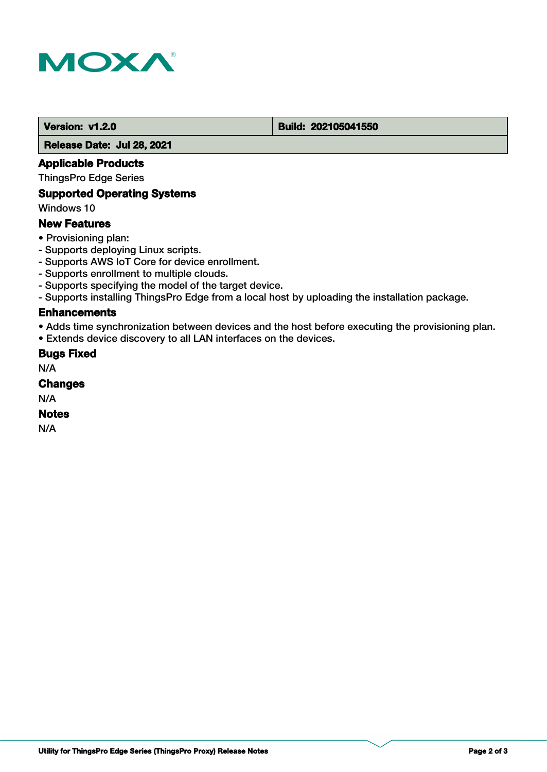

#### **Version: v1.2.0 Build: 202105041550**

 **Release Date: Jul 28, 2021**

#### **Applicable Products**

ThingsPro Edge Series

## **Supported Operating Systems**

Windows 10

#### **New Features**

- Provisioning plan:
- Supports deploying Linux scripts.
- Supports AWS IoT Core for device enrollment.
- Supports enrollment to multiple clouds.
- Supports specifying the model of the target device.
- Supports installing ThingsPro Edge from a local host by uploading the installation package.

## **Enhancements**

• Adds time synchronization between devices and the host before executing the provisioning plan.

• Extends device discovery to all LAN interfaces on the devices.

#### **Bugs Fixed**

N/A

# **Changes**

N/A

#### **Notes**

N/A